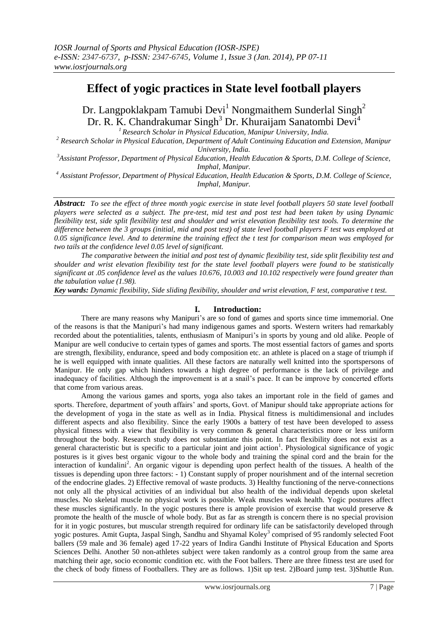# **Effect of yogic practices in State level football players**

Dr. Langpoklakpam Tamubi Devi<sup>1</sup> Nongmaithem Sunderlal Singh<sup>2</sup> Dr. R. K. Chandrakumar Singh<sup>3</sup> Dr. Khuraijam Sanatombi Devi<sup>4</sup>

*<sup>1</sup> Research Scholar in Physical Education, Manipur University, India.*

*<sup>2</sup> Research Scholar in Physical Education, Department of Adult Continuing Education and Extension, Manipur University, India.*

*<sup>3</sup>Assistant Professor, Department of Physical Education, Health Education & Sports, D.M. College of Science, Imphal, Manipur.*

*<sup>4</sup> Assistant Professor, Department of Physical Education, Health Education & Sports, D.M. College of Science, Imphal, Manipur.*

*Abstract: To see the effect of three month yogic exercise in state level football players 50 state level football players were selected as a subject. The pre-test, mid test and post test had been taken by using Dynamic flexibility test, side split flexibility test and shoulder and wrist elevation flexibility test tools. To determine the difference between the 3 groups (initial, mid and post test) of state level football players F test was employed at 0.05 significance level. And to determine the training effect the t test for comparison mean was employed for two tails at the confidence level 0.05 level of significant.*

*The comparative between the initial and post test of dynamic flexibility test, side split flexibility test and shoulder and wrist elevation flexibility test for the state level football players were found to be statistically significant at .05 confidence level as the values 10.676, 10.003 and 10.102 respectively were found greater than the tabulation value (1.98).*

*Key wards: Dynamic flexibility, Side sliding flexibility, shoulder and wrist elevation, F test, comparative t test.*

## **I. Introduction:**

There are many reasons why Manipuri"s are so fond of games and sports since time immemorial. One of the reasons is that the Manipuri"s had many indigenous games and sports. Western writers had remarkably recorded about the potentialities, talents, enthusiasm of Manipuri's in sports by young and old alike. People of Manipur are well conducive to certain types of games and sports. The most essential factors of games and sports are strength, flexibility, endurance, speed and body composition etc. an athlete is placed on a stage of triumph if he is well equipped with innate qualities. All these factors are naturally well knitted into the sportspersons of Manipur. He only gap which hinders towards a high degree of performance is the lack of privilege and inadequacy of facilities. Although the improvement is at a snail"s pace. It can be improve by concerted efforts that come from various areas.

Among the various games and sports, yoga also takes an important role in the field of games and sports. Therefore, department of youth affairs' and sports, Govt. of Manipur should take appropriate actions for the development of yoga in the state as well as in India. Physical fitness is multidimensional and includes different aspects and also flexibility. Since the early 1900s a battery of test have been developed to assess physical fitness with a view that flexibility is very common & general characteristics more or less uniform throughout the body. Research study does not substantiate this point. In fact flexibility does not exist as a general characteristic but is specific to a particular joint and joint action<sup>1</sup>. Physiological significance of yogic postures is it gives best organic vigour to the whole body and training the spinal cord and the brain for the interaction of kundalini<sup>2</sup>. An organic vigour is depending upon perfect health of the tissues. A health of the tissues is depending upon three factors: - 1) Constant supply of proper nourishment and of the internal secretion of the endocrine glades. 2) Effective removal of waste products. 3) Healthy functioning of the nerve-connections not only all the physical activities of an individual but also health of the individual depends upon skeletal muscles. No skeletal muscle no physical work is possible. Weak muscles weak health. Yogic postures affect these muscles significantly. In the yogic postures there is ample provision of exercise that would preserve & promote the health of the muscle of whole body. But as far as strength is concern there is no special provision for it in yogic postures, but muscular strength required for ordinary life can be satisfactorily developed through yogic postures. Amit Gupta, Jaspal Singh, Sandhu and Shyamal Koley<sup>3</sup> comprised of 95 randomly selected Foot ballers (59 male and 36 female) aged 17-22 years of Indira Gandhi Institute of Physical Education and Sports Sciences Delhi. Another 50 non-athletes subject were taken randomly as a control group from the same area matching their age, socio economic condition etc. with the Foot ballers. There are three fitness test are used for the check of body fitness of Footballers. They are as follows. 1)Sit up test. 2)Board jump test. 3)Shuttle Run.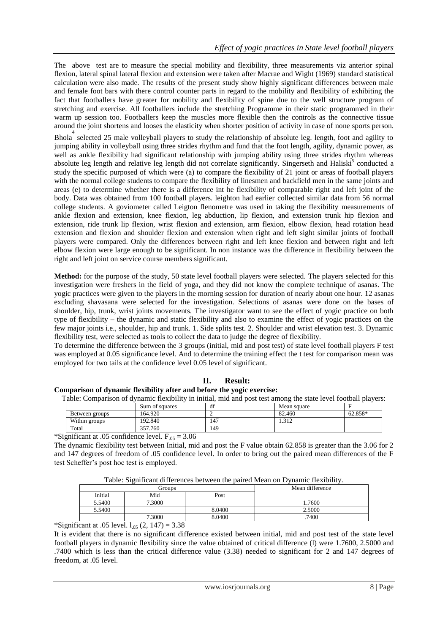The above test are to measure the special mobility and flexibility, three measurements viz anterior spinal flexion, lateral spinal lateral flexion and extension were taken after Macrae and Wight (1969) standard statistical calculation were also made. The results of the present study show highly significant differences between male and female foot bars with there control counter parts in regard to the mobility and flexibility of exhibiting the fact that footballers have greater for mobility and flexibility of spine due to the well structure program of stretching and exercise. All footballers include the stretching Programme in their static programmed in their warm up session too. Footballers keep the muscles more flexible then the controls as the connective tissue around the joint shortens and looses the elasticity when shorter position of activity in case of none sports person.

Bhola 4 selected 25 male volleyball players to study the relationship of absolute leg. length, foot and agility to jumping ability in volleyball using three strides rhythm and fund that the foot length, agility, dynamic power, as well as ankle flexibility had significant relationship with jumping ability using three strides rhythm whereas absolute leg length and relative leg length did not correlate significantly. Singerseth and Haliski<sup>5</sup> conducted a study the specific purposed of which were (a) to compare the flexibility of 21 joint or areas of football players with the normal college students to compare the flexibility of linesmen and backfield men in the same joints and areas (e) to determine whether there is a difference int he flexibility of comparable right and left joint of the body. Data was obtained from 100 football players. leighton had earlier collected similar data from 56 normal college students. A goviometer called Leigton flenometre was used in taking the flexibility measurements of ankle flexion and extension, knee flexion, leg abduction, lip flexion, and extension trunk hip flexion and extension, ride trunk lip flexion, wrist flexion and extension, arm flexion, elbow flexion, head rotation head extension and flexion and shoulder flexion and extension when right and left sight similar joints of football players were compared. Only the differences between right and left knee flexion and between right and left elbow flexion were large enough to be significant. In non instance was the difference in flexibility between the right and left joint on service course members significant.

**Method:** for the purpose of the study, 50 state level football players were selected. The players selected for this investigation were freshers in the field of yoga, and they did not know the complete technique of asanas. The yogic practices were given to the players in the morning session for duration of nearly about one hour. 12 asanas excluding shavasana were selected for the investigation. Selections of asanas were done on the bases of shoulder, hip, trunk, wrist joints movements. The investigator want to see the effect of yogic practice on both type of flexibility – the dynamic and static flexibility and also to examine the effect of yogic practices on the few major joints i.e., shoulder, hip and trunk. 1. Side splits test. 2. Shoulder and wrist elevation test. 3. Dynamic flexibility test, were selected as tools to collect the data to judge the degree of flexibility.

To determine the difference between the 3 groups (initial, mid and post test) of state level football players F test was employed at 0.05 significance level. And to determine the training effect the t test for comparison mean was employed for two tails at the confidence level 0.05 level of significant.

## **II. Result:**

### **Comparison of dynamic flexibility after and before the yogic exercise:**

Table: Comparison of dynamic flexibility in initial, mid and post test among the state level football players:

|                | Sum of squares | $\sim$<br>-di | Mean square    |         |
|----------------|----------------|---------------|----------------|---------|
| Between groups | 164.920        | ∸             | 82.460         | 62.858* |
| Within groups  | 192.840        | 147           | 212<br>شدال ده |         |
| Total          | 357.760        | 149           |                |         |

\*Significant at .05 confidence level.  $F_{.05} = 3.06$ 

The dynamic flexibility test between Initial, mid and post the F value obtain 62.858 is greater than the 3.06 for 2 and 147 degrees of freedom of .05 confidence level. In order to bring out the paired mean differences of the F test Scheffer"s post hoc test is employed.

| Table: Significant differences between the paired Mean on Dynamic flexibility. |  |  |
|--------------------------------------------------------------------------------|--|--|

|   |         | Groups |        | Mean difference |
|---|---------|--------|--------|-----------------|
|   | Initial | Mid    | Post   |                 |
|   | 5.5400  | 7.3000 |        | .7600           |
|   | 5.5400  |        | 8.0400 | 2.5000          |
|   |         | 7.3000 | 8.0400 | .7400           |
| . | _ _ _   | $  -$  |        |                 |

\*Significant at .05 level.  $l_{.05}$  (2, 147) = 3.38

It is evident that there is no significant difference existed between initial, mid and post test of the state level football players in dynamic flexibility since the value obtained of critical difference (l) were 1.7600, 2.5000 and .7400 which is less than the critical difference value (3.38) needed to significant for 2 and 147 degrees of freedom, at .05 level.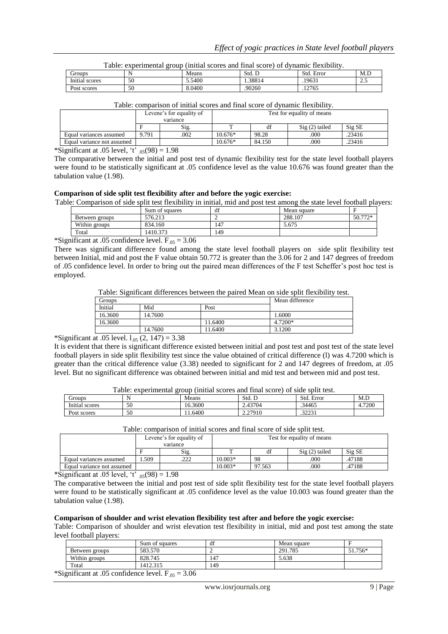| Table: experimental group (initial scores and final score) of dynamic flexibility. |    |        |        |            |     |  |
|------------------------------------------------------------------------------------|----|--------|--------|------------|-----|--|
| Groups                                                                             |    | Means  | Std. D | Std. Error | M.L |  |
| Initial scores                                                                     | 50 | 5.5400 | .38814 | 19631      | 2.5 |  |
| Post scores                                                                        | 50 | 8.0400 | .90260 | 12765      |     |  |

|  | Table: comparison of initial scores and final score of dynamic flexibility. |
|--|-----------------------------------------------------------------------------|

|                            | Levene's for equality of<br>variance |      | Test for equality of means |        |                 |        |
|----------------------------|--------------------------------------|------|----------------------------|--------|-----------------|--------|
|                            |                                      | Sig. |                            |        | $Sig(2)$ tailed | Sig SE |
| Equal variances assumed    | 9.791                                | .002 | $10.676*$                  | 98.28  | .000            | .23416 |
| Equal variance not assumed |                                      |      | $10.676*$                  | 84.150 | .000            | .23416 |

\*Significant at .05 level, 't'  $_{.05}(98) = 1.98$ 

The comparative between the initial and post test of dynamic flexibility test for the state level football players were found to be statistically significant at .05 confidence level as the value 10.676 was found greater than the tabulation value (1.98).

### **Comparison of side split test flexibility after and before the yogic exercise:**

Table: Comparison of side split test flexibility in initial, mid and post test among the state level football players:

|                | Sum of squares | $\cdot$<br>df | Mean square |         |
|----------------|----------------|---------------|-------------|---------|
| Between groups | 576.213        |               | 288.107     | 50.772* |
| Within groups  | 834.160        | 147           | 5.675       |         |
| Total          | 1410.373       | 149           |             |         |

\*Significant at .05 confidence level.  $F_{.05} = 3.06$ 

There was significant difference found among the state level football players on side split flexibility test between Initial, mid and post the F value obtain 50.772 is greater than the 3.06 for 2 and 147 degrees of freedom of .05 confidence level. In order to bring out the paired mean differences of the F test Scheffer"s post hoc test is employed.

Table: Significant differences between the paired Mean on side split flexibility test.

| Groups  |         |         | Mean difference |
|---------|---------|---------|-----------------|
| Initial | Mid     | Post    |                 |
| 16.3600 | 14.7600 |         | 1.6000          |
| 16.3600 |         | 11.6400 | 4.7200*         |
|         | 14.7600 | 11.6400 | 3.1200          |

\*Significant at .05 level.  $1_{.05}$  (2, 147) = 3.38

It is evident that there is significant difference existed between initial and post test and post test of the state level football players in side split flexibility test since the value obtained of critical difference (l) was 4.7200 which is greater than the critical difference value (3.38) needed to significant for 2 and 147 degrees of freedom, at .05 level. But no significant difference was obtained between initial and mid test and between mid and post test.

| Table: experimental group (initial scores and final score) of side split test. |    |         |         |            |        |  |
|--------------------------------------------------------------------------------|----|---------|---------|------------|--------|--|
| Groups                                                                         |    | Means   | Std. D  | Std. Error | M.D    |  |
| Initial scores                                                                 | 50 | 16.3600 | 2.43704 | .34465     | 4.7200 |  |
| Post scores                                                                    | 50 | 11.6400 | 2.27910 | 32231      |        |  |
|                                                                                |    |         |         |            |        |  |

| Taone. Combarison of mitual scores and miar score of side som test. |                                      |      |                            |        |                                    |        |
|---------------------------------------------------------------------|--------------------------------------|------|----------------------------|--------|------------------------------------|--------|
|                                                                     | Levene's for equality of<br>variance |      | Test for equality of means |        |                                    |        |
|                                                                     |                                      | Sig. |                            |        | $\mathrm{Si}\mathrm{g}$ (2) tailed | Sig SE |
| Equal variances assumed                                             | .509                                 | .222 | $10.003*$                  | 98     | .000                               | 47188  |
| Equal variance not assumed                                          |                                      |      | $10.003*$                  | 97.563 | .000                               | .47188 |

Table: comparison of initial scores and final score of side split test.

\*Significant at .05 level, 't'  $_{.05}(98) = 1.98$ 

The comparative between the initial and post test of side split flexibility test for the state level football players were found to be statistically significant at .05 confidence level as the value 10.003 was found greater than the tabulation value (1.98).

#### **Comparison of shoulder and wrist elevation flexibility test after and before the yogic exercise:**

Table: Comparison of shoulder and wrist elevation test flexibility in initial, mid and post test among the state level football players:

|                | Sum of squares | $\cdot$<br>di | Mean square |         |
|----------------|----------------|---------------|-------------|---------|
| Between groups | 583.570        |               | 291.785     | 51.756* |
| Within groups  | 828.745        | 147           | 5.638       |         |
| Total          | 1412.315       | 149           |             |         |

\*Significant at .05 confidence level.  $F_{.05} = 3.06$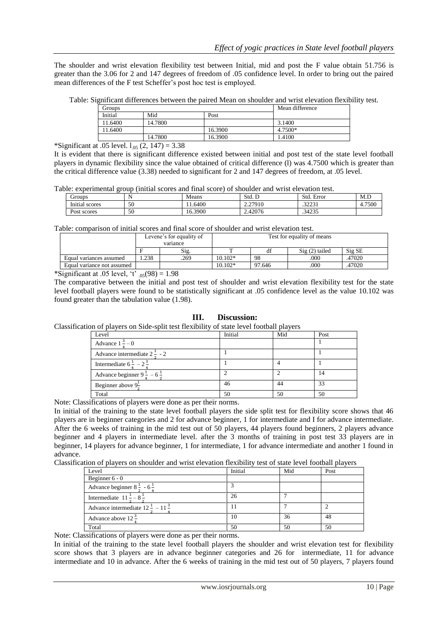The shoulder and wrist elevation flexibility test between Initial, mid and post the F value obtain 51.756 is greater than the 3.06 for 2 and 147 degrees of freedom of .05 confidence level. In order to bring out the paired mean differences of the F test Scheffer"s post hoc test is employed.

Table: Significant differences between the paired Mean on shoulder and wrist elevation flexibility test.

| Groups  |         |         | Mean difference |
|---------|---------|---------|-----------------|
| Initial | Mid     | Post    |                 |
| 11.6400 | 14.7800 |         | 3.1400          |
| 11.6400 |         | 16.3900 | 4.7500*         |
|         | 14.7800 | 16.3900 | 1.4100          |

\*Significant at .05 level.  $l_{.05}$  (2, 147) = 3.38

It is evident that there is significant difference existed between initial and post test of the state level football players in dynamic flexibility since the value obtained of critical difference (l) was 4.7500 which is greater than the critical difference value (3.38) needed to significant for 2 and 147 degrees of freedom, at .05 level.

Table: experimental group (initial scores and final score) of shoulder and wrist elevation test.

| Groups         |    | Means   | Std. D  | $\overline{\phantom{0}}$<br>Std.<br>Error | M.D         |
|----------------|----|---------|---------|-------------------------------------------|-------------|
| Initial scores | 50 | .6400   | 2.27910 | 2222<br>۰٫۱۰٬۰۰۱                          | 4.7500<br>4 |
| Post scores    | 50 | 16.3900 | 2.42076 | .34235                                    |             |

Table: comparison of initial scores and final score of shoulder and wrist elevation test.

| Levene's for equality of   |          | Test for equality of means |           |        |                        |        |  |
|----------------------------|----------|----------------------------|-----------|--------|------------------------|--------|--|
|                            | variance |                            |           |        |                        |        |  |
|                            |          | Sig.                       |           |        | $\text{Sig}(2)$ tailed | Sig SE |  |
| Equal variances assumed    | .238     | .269                       | $10.102*$ | 98     | .000                   | .47020 |  |
| Equal variance not assumed |          |                            | $10.102*$ | 97.646 | .000                   | 47020  |  |

\*Significant at .05 level, 't'  $_{.05}(98) = 1.98$ 

The comparative between the initial and post test of shoulder and wrist elevation flexibility test for the state level football players were found to be statistically significant at .05 confidence level as the value 10.102 was found greater than the tabulation value (1.98).

## **III. Discussion:**

Classification of players on Side-split test flexibility of state level football players

| Level                                            | Initial | Mid | Post |
|--------------------------------------------------|---------|-----|------|
| Advance $1^3 - 0$                                |         |     |      |
| Advance intermediate $2^{\frac{1}{2}}$ - 2       |         |     |      |
| Intermediate $6^{\frac{1}{2}} - 2^{\frac{3}{2}}$ |         |     |      |
| Advance beginner $9\frac{1}{2} - 6\frac{1}{2}$   |         |     | 14   |
| Beginner above $9^{\pm}$                         | 46      | 44  | 33   |
| Total                                            | 50      | 50  | 50   |

Note: Classifications of players were done as per their norms.

In initial of the training to the state level football players the side split test for flexibility score shows that 46 players are in beginner categories and 2 for advance beginner, 1 for intermediate and I for advance intermediate. After the 6 weeks of training in the mid test out of 50 players, 44 players found beginners, 2 players advance beginner and 4 players in intermediate level. after the 3 months of training in post test 33 players are in beginner, 14 players for advance beginner, 1 for intermediate, 1 for advance intermediate and another 1 found in advance.

Classification of players on shoulder and wrist elevation flexibility test of state level football players

| Level                                                      | Initial | Mid | Post |
|------------------------------------------------------------|---------|-----|------|
| Beginner $6 - 0$                                           |         |     |      |
| Advance beginner $8\frac{1}{2}$ - 6 $\frac{1}{1}$          |         |     |      |
| Intermediate $11 - 8$                                      | 26      |     |      |
| Advance intermediate $12^{\frac{1}{2}} - 11^{\frac{3}{2}}$ |         |     |      |
| Advance above $12 \div$                                    | 10      | 36  | 48   |
| Total                                                      | 50      | 50  | 50   |

Note: Classifications of players were done as per their norms.

In initial of the training to the state level football players the shoulder and wrist elevation test for flexibility score shows that 3 players are in advance beginner categories and 26 for intermediate, 11 for advance intermediate and 10 in advance. After the 6 weeks of training in the mid test out of 50 players, 7 players found